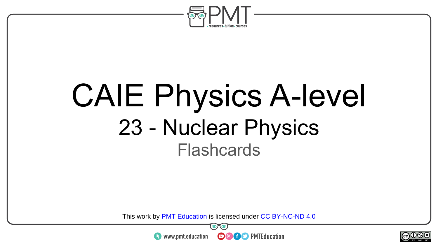

# CAIE Physics A-level 23 - Nuclear Physics **Flashcards**

This work by <u>PMT Education</u> is licensed under CC BY-NC-ND 4.0<br>
www.pmt.education **in the CO CO** PMTEducation



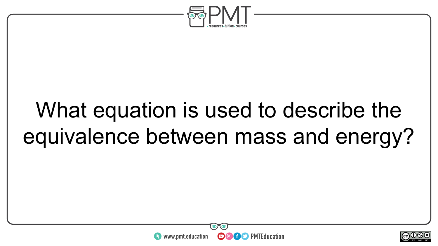

# What equation is used to describe the equivalence between mass and energy?



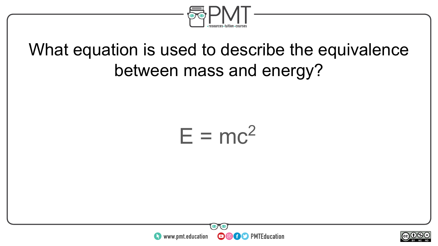

### What equation is used to describe the equivalence between mass and energy?





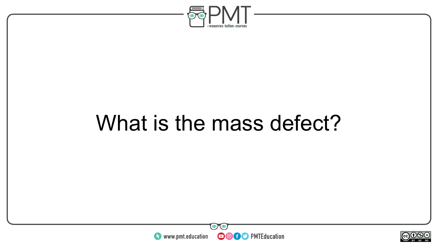

# What is the mass defect?



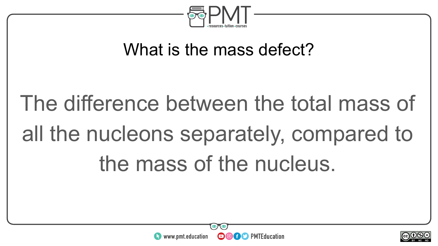

### What is the mass defect?

# The difference between the total mass of all the nucleons separately, compared to the mass of the nucleus.



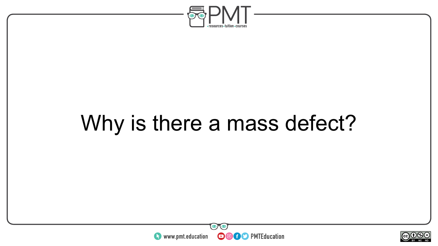

# Why is there a mass defect?



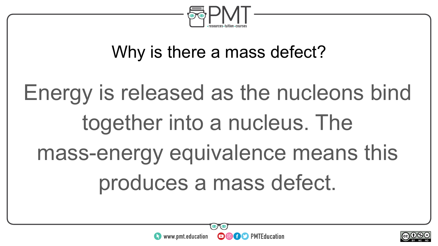

### Why is there a mass defect?

# Energy is released as the nucleons bind together into a nucleus. The mass-energy equivalence means this produces a mass defect.



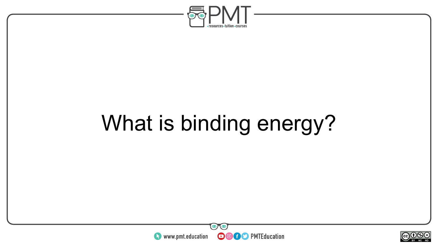

# What is binding energy?



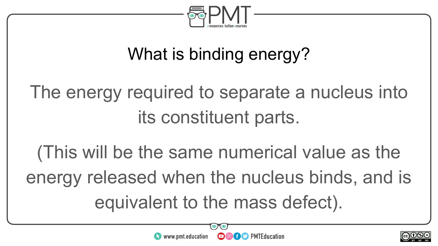

### What is binding energy?

The energy required to separate a nucleus into its constituent parts.

(This will be the same numerical value as the energy released when the nucleus binds, and is equivalent to the mass defect).



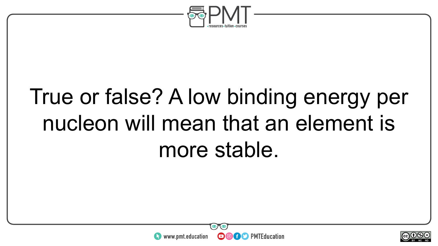

# True or false? A low binding energy per nucleon will mean that an element is more stable.



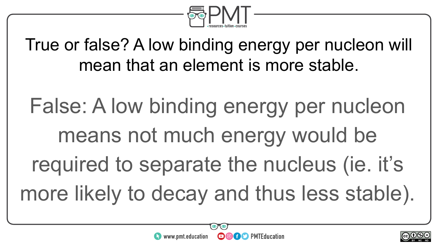

True or false? A low binding energy per nucleon will mean that an element is more stable.

False: A low binding energy per nucleon means not much energy would be required to separate the nucleus (ie. it's more likely to decay and thus less stable).



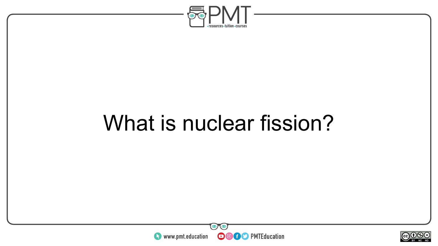

# What is nuclear fission?



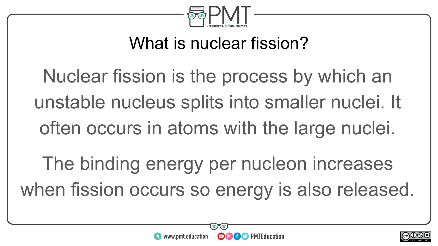

### What is nuclear fission?

Nuclear fission is the process by which an unstable nucleus splits into smaller nuclei. It often occurs in atoms with the large nuclei. The binding energy per nucleon increases when fission occurs so energy is also released.



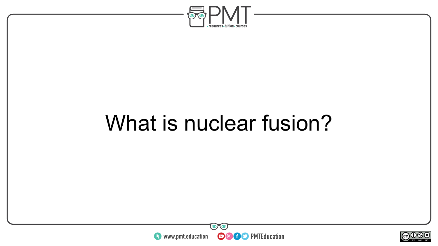

# What is nuclear fusion?



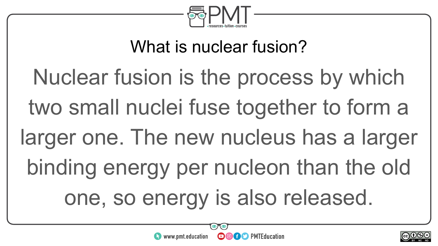

### What is nuclear fusion?

# Nuclear fusion is the process by which two small nuclei fuse together to form a larger one. The new nucleus has a larger binding energy per nucleon than the old one, so energy is also released.

**OOOO** PMTEducation



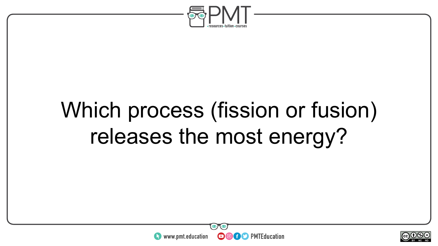

# Which process (fission or fusion) releases the most energy?



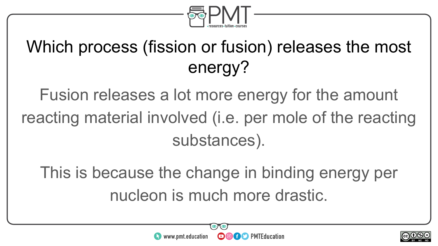

### Which process (fission or fusion) releases the most energy?

Fusion releases a lot more energy for the amount reacting material involved (i.e. per mole of the reacting substances).

This is because the change in binding energy per nucleon is much more drastic.



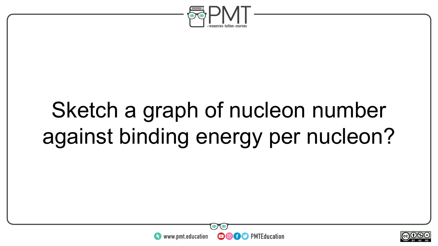

# Sketch a graph of nucleon number against binding energy per nucleon?



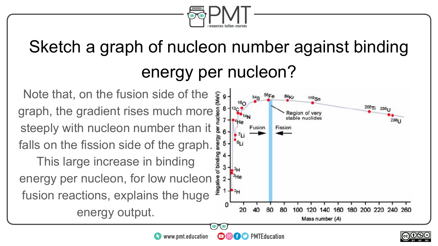

### Sketch a graph of nucleon number against binding energy per nucleon?

Note that, on the fusion side of the MeV) graph, the gradient rises much more steeply with nucleon number than it falls on the fission side of the graph. This large increase in binding energy per nucleon, for low nucleon  $\frac{3}{8}$ fusion reactions, explains the huge energy output.



 $\sim$ neel BY NC ND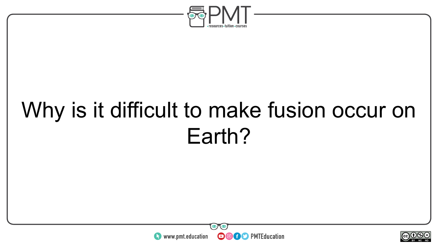

# Why is it difficult to make fusion occur on Earth?



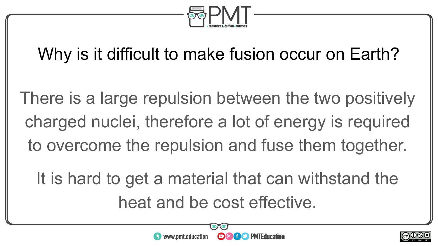

### Why is it difficult to make fusion occur on Earth?

There is a large repulsion between the two positively charged nuclei, therefore a lot of energy is required to overcome the repulsion and fuse them together.

It is hard to get a material that can withstand the heat and be cost effective.



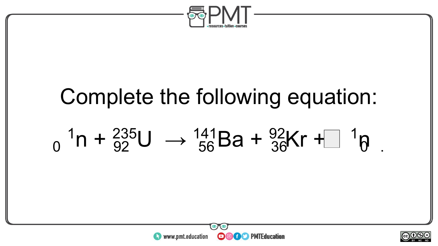

# Complete the following equation:  $_{0}$  <sup>1</sup>n +  $_{92}^{235}$ U  $\rightarrow$   $_{56}^{141}$ Ba +  $_{36}^{92}$ Kr + $\Box$  <sup>1</sup> $_{\theta}$  .

**OOOO** PMTEducation

**htms://www.pmt.education** 

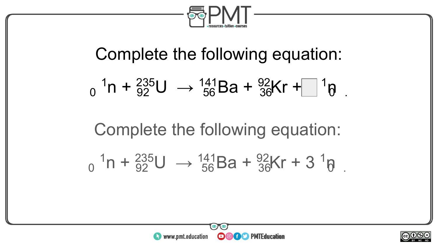

# Complete the following equation:  $_{0}$  <sup>1</sup>n +  $_{92}^{235}$ U  $\rightarrow$   $_{56}^{141}$ Ba +  $_{36}^{92}$ Kr + $_{10}^{11}$   $_{0}^{1}$ Complete the following equation:  $_{0}^{1}n + \frac{235}{92}U \rightarrow \frac{141}{56}Ba + \frac{92}{36}Kr + 3 \frac{1}{9}$

**OOOO** PMTEducation



**htms://www.pmt.education**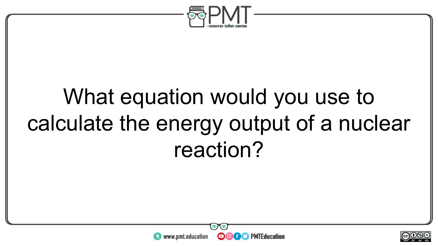

# What equation would you use to calculate the energy output of a nuclear reaction?



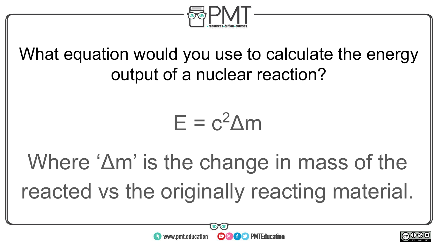

What equation would you use to calculate the energy output of a nuclear reaction?

### $E = c^2 \Lambda m$

Where 'Δm' is the change in mass of the reacted vs the originally reacting material.



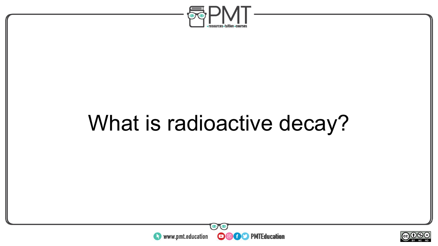

# What is radioactive decay?



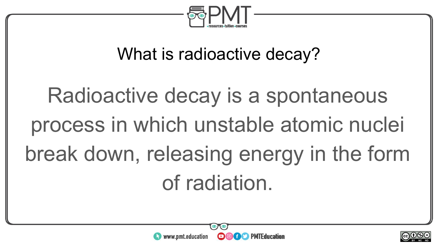

### What is radioactive decay?

# Radioactive decay is a spontaneous process in which unstable atomic nuclei break down, releasing energy in the form of radiation.



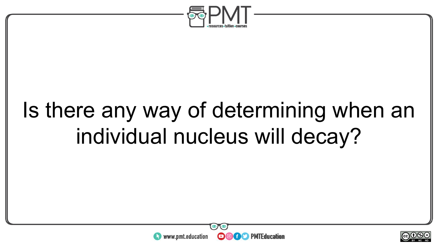

# Is there any way of determining when an individual nucleus will decay?



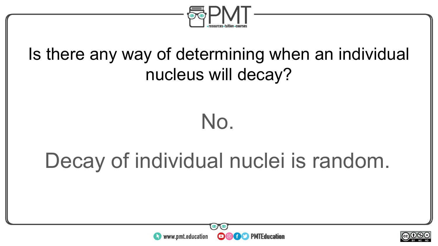

### Is there any way of determining when an individual nucleus will decay?

### No.

# Decay of individual nuclei is random.



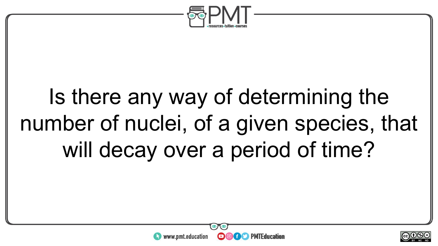

# Is there any way of determining the number of nuclei, of a given species, that will decay over a period of time?



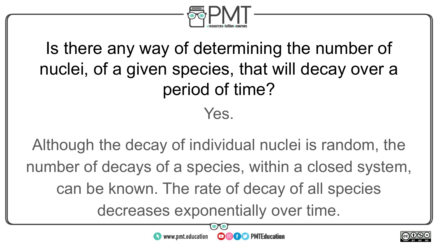

### Is there any way of determining the number of nuclei, of a given species, that will decay over a period of time? Yes.

Although the decay of individual nuclei is random, the number of decays of a species, within a closed system, can be known. The rate of decay of all species decreases exponentially over time.



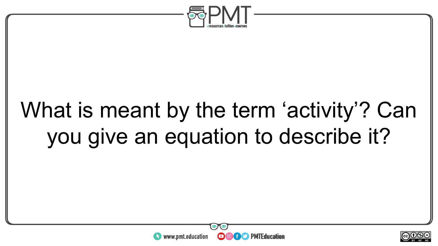

# What is meant by the term 'activity'? Can you give an equation to describe it?



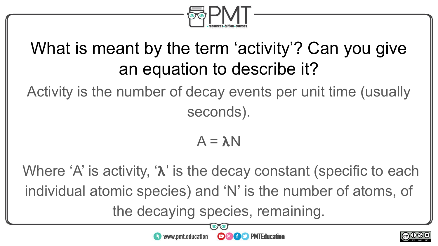

### What is meant by the term 'activity'? Can you give an equation to describe it?

Activity is the number of decay events per unit time (usually seconds).

$$
A = \lambda N
$$

Where  $A'$  is activity,  $\lambda'$  is the decay constant (specific to each individual atomic species) and 'N' is the number of atoms, of the decaying species, remaining.



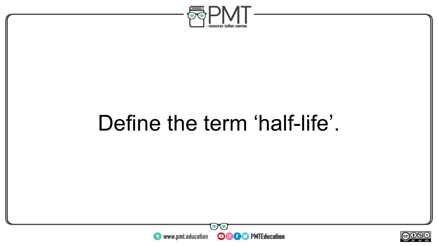

# Define the term 'half-life'.



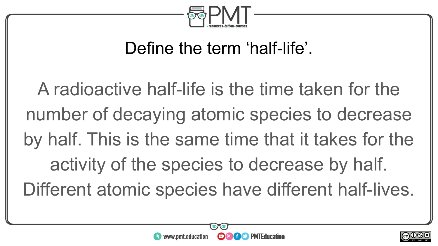

### Define the term 'half-life'.

A radioactive half-life is the time taken for the number of decaying atomic species to decrease by half. This is the same time that it takes for the activity of the species to decrease by half. Different atomic species have different half-lives.



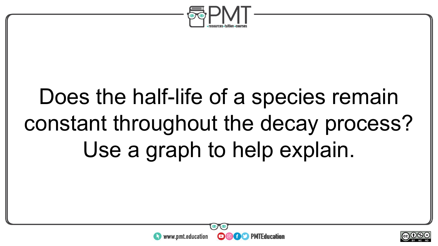

# Does the half-life of a species remain constant throughout the decay process? Use a graph to help explain.



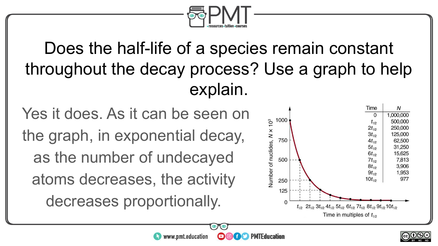

### Does the half-life of a species remain constant throughout the decay process? Use a graph to help explain.

 $\boldsymbol{\Theta}$ 

**Of S** PMTEducation

Yes it does. As it can be seen on the graph, in exponential decay, as the number of undecayed atoms decreases, the activity decreases proportionally.

**https://www.pmt.education** 



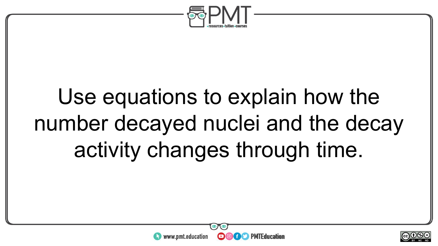

# Use equations to explain how the number decayed nuclei and the decay activity changes through time.



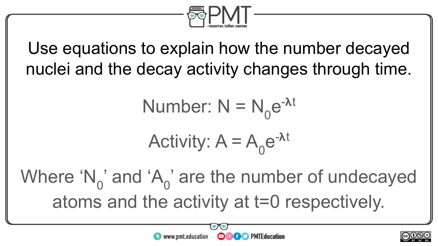

Use equations to explain how the number decayed nuclei and the decay activity changes through time.

Number: 
$$
N = N_0 e^{-\lambda t}
$$

Activity: 
$$
A = A_0 e^{-\lambda t}
$$

Where ' $N_0$ ' and 'A<sub>0</sub>' are the number of undecayed atoms and the activity at t=0 respectively.

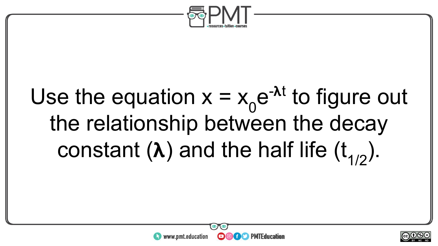

# Use the equation  $x = x_0 e^{-\lambda t}$  to figure out the relationship between the decay constant  $(\lambda)$  and the half life  $(t_{1/2})$ .